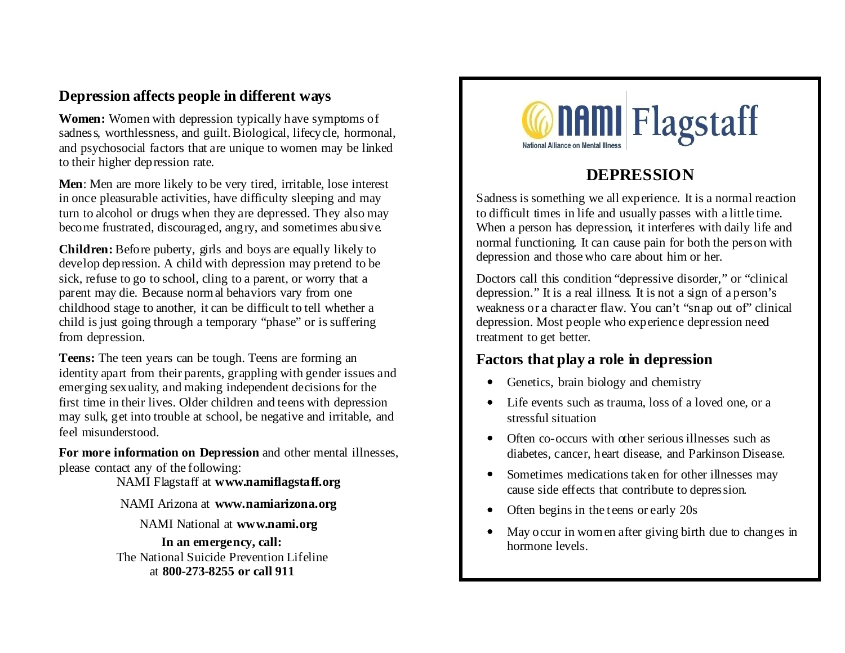# **Depression affects people in different ways**

**Women:** Women with depression typically have symptoms of sadness, worthlessness, and guilt. Biological, lifecycle, hormonal, and psychosocial factors that are unique to women may be linked to their higher depression rate.

**Men**: Men are more likely to be very tired, irritable, lose interest in once pleasurable activities, have difficulty sleeping and may turn to alcohol or drugs when they are depressed. They also may become frustrated, discouraged, angry, and sometimes abusive.

**Children:** Before puberty, girls and boys are equally likely to develop depression. A child with depression may pretend to be sick, refuse to go to school, cling to a parent, or worry that a parent may die. Because normal behaviors vary from one childhood stage to another, it can be difficult to tell whether a child is just going through a temporary "phase" or is suffering from depression.

**Teens:** The teen years can be tough. Teens are forming an identity apart from their parents, grappling with gender issues and emerging sexuality, and making independent decisions for the first time in their lives. Older children and teens with depression may sulk, get into trouble at school, be negative and irritable, and feel misunderstood.

**For more information on Depression** and other mental illnesses, please contact any of the following:

NAMI Flagstaff at **www.namiflagstaff.org**

#### NAMI Arizona at **www.namiarizona.org**

NAMI National at **www.nami.org**

**In an emergency, call:** The National Suicide Prevention Lifeline at **800-273-8255 or call 911**



# **DEPRESSION**

Sadness is something we all experience. It is a normal reaction to difficult times in life and usually passes with a little time. When a person has depression, it interferes with daily life and normal functioning. It can cause pain for both the person with depression and those who care about him or her.

Doctors call this condition "depressive disorder," or "clinical depression." It is a real illness. It is not a sign of a person's weakness or a character flaw. You can't "snap out of" clinical depression. Most people who experience depression need treatment to get better.

### **Factors that play a role in depression**

- Genetics, brain biology and chemistry
- Life events such as trauma, loss of a loved one, or a stressful situation
- Often co-occurs with other serious illnesses such as diabetes, cancer, heart disease, and Parkinson Disease.
- Sometimes medications taken for other illnesses may cause side effects that contribute to depression.
- Often begins in the teens or early 20s
- May occur in women after giving birth due to changes in hormone levels.